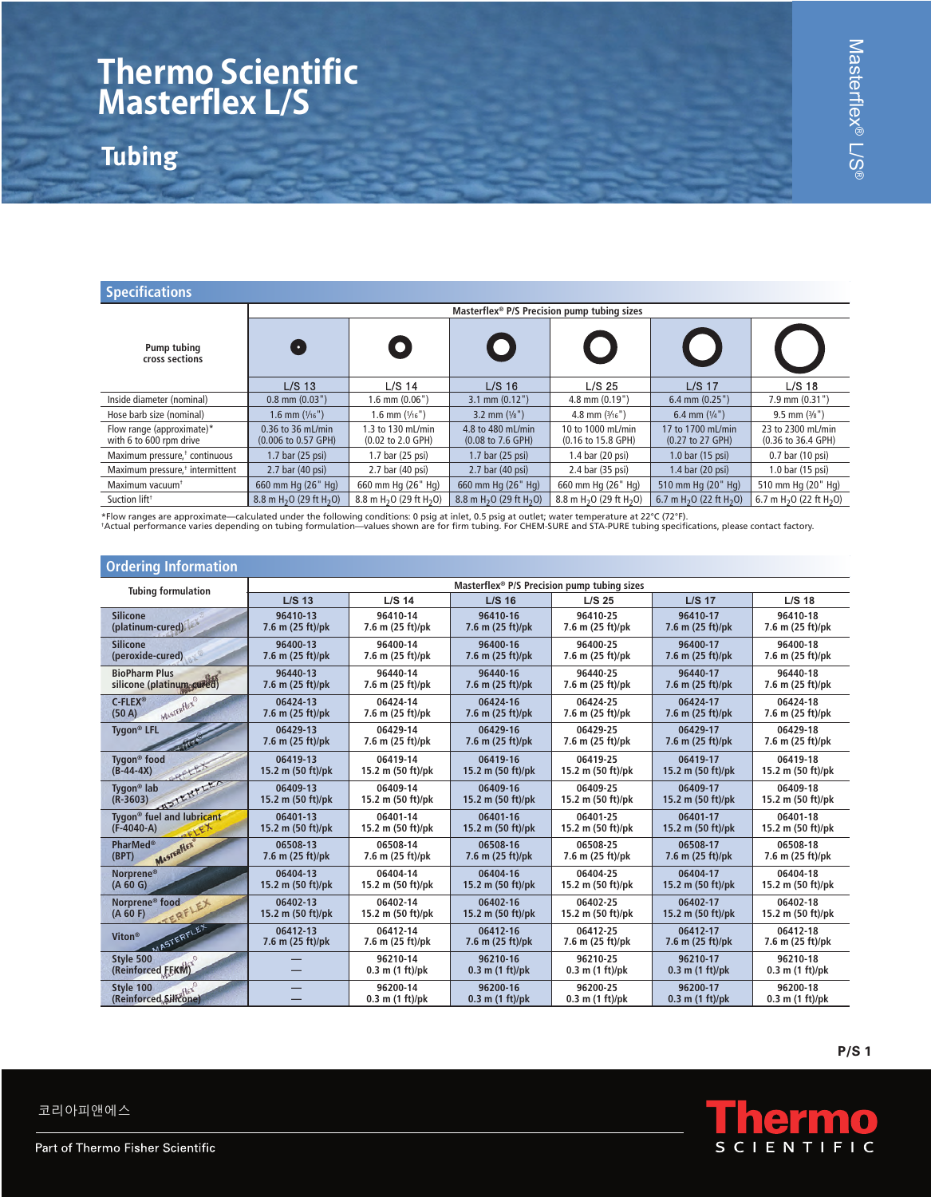## **Thermo Scientific Masterflex L/S**

**Tubing**

| <b>Specifications</b>                                |                                                 |                                                 |                                                           |                                                 |                                                          |                                                            |
|------------------------------------------------------|-------------------------------------------------|-------------------------------------------------|-----------------------------------------------------------|-------------------------------------------------|----------------------------------------------------------|------------------------------------------------------------|
|                                                      | Masterflex® P/S Precision pump tubing sizes     |                                                 |                                                           |                                                 |                                                          |                                                            |
| Pump tubing<br>cross sections                        |                                                 | $\bullet$                                       | $\bullet$                                                 |                                                 |                                                          |                                                            |
|                                                      | $L/S$ 13                                        | L/S 14                                          | $L/S$ 16                                                  | L/S <sub>25</sub>                               | $L/S$ 17                                                 | $L/S$ 18                                                   |
| Inside diameter (nominal)                            | $0.8$ mm $(0.03")$                              | $1.6$ mm $(0.06")$                              | $3.1$ mm $(0.12")$                                        | $4.8$ mm $(0.19")$                              | $6.4$ mm $(0.25")$                                       | $7.9$ mm $(0.31")$                                         |
| Hose barb size (nominal)                             | $1.6$ mm $(\frac{1}{16})$                       | 1.6 mm $(\frac{1}{16})$                         | 3.2 mm $(\frac{1}{8})$                                    | 4.8 mm $(3/16")$                                | 6.4 mm $(1/4")$                                          | $9.5$ mm $(3\frac{1}{8})$                                  |
| Flow range (approximate)*<br>with 6 to 600 rpm drive | 0.36 to 36 mL/min<br>(0.006 to 0.57 GPH)        | 1.3 to 130 mL/min<br>(0.02 to 2.0 GPH)          | 4.8 to 480 mL/min<br>$(0.08 \text{ to } 7.6 \text{ GPH})$ | 10 to 1000 mL/min<br>(0.16 to 15.8 GPH)         | 17 to 1700 mL/min<br>$(0.27 \text{ to } 27 \text{ GPH})$ | 23 to 2300 mL/min<br>$(0.36 \text{ to } 36.4 \text{ GPH})$ |
| Maximum pressure, <sup>†</sup> continuous            | 1.7 bar (25 psi)                                | 1.7 bar (25 psi)                                | 1.7 bar (25 psi)                                          | 1.4 bar (20 psi)                                | 1.0 bar (15 psi)                                         | 0.7 bar (10 psi)                                           |
| Maximum pressure, <sup>†</sup> intermittent          | 2.7 bar (40 psi)                                | 2.7 bar (40 psi)                                | 2.7 bar (40 psi)                                          | 2.4 bar (35 psi)                                | 1.4 bar (20 psi)                                         | 1.0 bar (15 psi)                                           |
| Maximum vacuum <sup>+</sup>                          | 660 mm Hg (26" Hg)                              | 660 mm Hg (26" Hg)                              | 660 mm Hg (26" Hg)                                        | 660 mm Hg (26" Hg)                              | 510 mm Hg (20" Hg)                                       | 510 mm Hg (20" Hg)                                         |
| Suction lift <sup>†</sup>                            | 8.8 m H <sub>2</sub> O (29 ft H <sub>2</sub> O) | 8.8 m H <sub>2</sub> O (29 ft H <sub>2</sub> O) | 8.8 m H <sub>2</sub> O (29 ft H <sub>2</sub> O)           | 8.8 m H <sub>2</sub> O (29 ft H <sub>2</sub> O) | 6.7 m H <sub>2</sub> O (22 ft H <sub>2</sub> O)          | 6.7 m H <sub>2</sub> O (22 ft H <sub>2</sub> O)            |

\*Flow ranges are approximate—calculated under the following conditions: 0 psig at inlet, 0.5 psig at outlet; water temperature at 22°C (72°F).<br>†Actual performance varies depending on tubing formulation—values shown are for

| <b>Ordering Information</b>                           |                                                         |                                 |                                 |                                 |                                 |                                 |
|-------------------------------------------------------|---------------------------------------------------------|---------------------------------|---------------------------------|---------------------------------|---------------------------------|---------------------------------|
| <b>Tubing formulation</b>                             | Masterflex <sup>®</sup> P/S Precision pump tubing sizes |                                 |                                 |                                 |                                 |                                 |
|                                                       | $L/S$ 13                                                | $L/S$ 14                        | $L/S$ 16                        | $L/S$ 25                        | $L/S$ 17                        | $L/S$ 18                        |
| <b>Silicone</b><br>(platinum-cured)                   | 96410-13<br>7.6 m (25 ft)/pk                            | 96410-14<br>7.6 m (25 ft)/pk    | 96410-16<br>7.6 m (25 ft)/pk    | 96410-25<br>7.6 m (25 ft)/pk    | 96410-17<br>7.6 m (25 ft)/pk    | 96410-18<br>7.6 m (25 ft)/pk    |
| <b>Silicone</b><br>(peroxide-cured)                   | 96400-13<br>7.6 m (25 ft)/pk                            | 96400-14<br>7.6 m (25 ft)/pk    | 96400-16<br>7.6 m (25 ft)/pk    | 96400-25<br>7.6 m (25 ft)/pk    | 96400-17<br>7.6 m (25 ft)/pk    | 96400-18<br>7.6 m (25 ft)/pk    |
| <b>BioPharm Plus</b><br>silicone (platinum-cured)     | 96440-13<br>7.6 m (25 ft)/pk                            | 96440-14<br>7.6 m (25 ft)/pk    | 96440-16<br>7.6 m (25 ft)/pk    | 96440-25<br>7.6 m (25 ft)/pk    | 96440-17<br>7.6 m (25 ft)/pk    | 96440-18<br>7.6 m (25 ft)/pk    |
| $C$ -FLEX®<br>MASTERFIEX®<br>(50 A)                   | 06424-13<br>7.6 m (25 ft)/pk                            | 06424-14<br>7.6 m (25 ft)/pk    | 06424-16<br>7.6 m (25 ft)/pk    | 06424-25<br>7.6 m (25 ft)/pk    | 06424-17<br>7.6 m (25 ft)/pk    | 06424-18<br>7.6 m (25 ft)/pk    |
| Tygon <sup>®</sup> LFL                                | 06429-13<br>7.6 m (25 ft)/pk                            | 06429-14<br>7.6 m (25 ft)/pk    | 06429-16<br>7.6 m (25 ft)/pk    | 06429-25<br>7.6 m (25 ft)/pk    | 06429-17<br>7.6 m (25 ft)/pk    | 06429-18<br>7.6 m (25 ft)/pk    |
| Tygon <sup>®</sup> food<br>RELEX<br>$(B-44-4X)$       | 06419-13<br>15.2 m (50 ft)/pk                           | 06419-14<br>15.2 m (50 ft)/pk   | 06419-16<br>15.2 m (50 ft)/pk   | 06419-25<br>15.2 m (50 ft)/pk   | 06419-17<br>15.2 m (50 ft)/pk   | 06419-18<br>15.2 m (50 ft)/pk   |
| ASTERFEET<br>Tygon <sup>®</sup> lab<br>$(R-3603)$     | 06409-13<br>15.2 m (50 ft)/pk                           | 06409-14<br>15.2 m (50 ft)/pk   | 06409-16<br>15.2 m (50 ft)/pk   | 06409-25<br>15.2 m (50 ft)/pk   | 06409-17<br>15.2 m (50 ft)/pk   | 06409-18<br>15.2 m (50 ft)/pk   |
| Tygon <sup>®</sup> fuel and lubricant<br>$(F-4040-A)$ | 06401-13<br>15.2 m (50 ft)/pk                           | 06401-14<br>15.2 m (50 ft)/pk   | 06401-16<br>15.2 m (50 ft)/pk   | 06401-25<br>15.2 m (50 ft)/pk   | 06401-17<br>15.2 m (50 ft)/pk   | 06401-18<br>15.2 m (50 ft)/pk   |
| <b>PharMed®</b><br>MASTERFIEX<br>(BPT)                | 06508-13<br>7.6 m (25 ft)/pk                            | 06508-14<br>7.6 m (25 ft)/pk    | 06508-16<br>7.6 m (25 ft)/pk    | 06508-25<br>7.6 m (25 ft)/pk    | 06508-17<br>7.6 m (25 ft)/pk    | 06508-18<br>7.6 m (25 ft)/pk    |
| Norprene®<br>(A 60 G)                                 | 06404-13<br>15.2 m (50 ft)/pk                           | 06404-14<br>15.2 m (50 ft)/pk   | 06404-16<br>15.2 m (50 ft)/pk   | 06404-25<br>15.2 m (50 ft)/pk   | 06404-17<br>15.2 m (50 ft)/pk   | 06404-18<br>15.2 m (50 ft)/pk   |
| Norprene <sup>®</sup> food<br>ERFLEX<br>(A 60 F)      | 06402-13<br>15.2 m (50 ft)/pk                           | 06402-14<br>15.2 m (50 ft)/pk   | 06402-16<br>15.2 m (50 ft)/pk   | 06402-25<br>15.2 m (50 ft)/pk   | 06402-17<br>15.2 m (50 ft)/pk   | 06402-18<br>15.2 m (50 ft)/pk   |
| <b>MASTERFLEX</b><br>Viton <sup>®</sup>               | 06412-13<br>7.6 m (25 ft)/pk                            | 06412-14<br>7.6 m (25 ft)/pk    | 06412-16<br>7.6 m (25 ft)/pk    | 06412-25<br>7.6 m (25 ft)/pk    | 06412-17<br>7.6 m (25 ft)/pk    | 06412-18<br>7.6 m (25 ft)/pk    |
| (Reinforced EEKN)                                     |                                                         | 96210-14<br>$0.3$ m $(1 ft)/pk$ | 96210-16<br>$0.3$ m $(1 ft)/pk$ | 96210-25<br>$0.3$ m $(1 ft)/pk$ | 96210-17<br>$0.3$ m $(1 ft)/pk$ | 96210-18<br>$0.3$ m $(1 ft)/pk$ |
| Style 100<br>(Reinforced Silicone)                    |                                                         | 96200-14<br>$0.3$ m $(1 ft)/pk$ | 96200-16<br>$0.3$ m $(1 ft)/pk$ | 96200-25<br>$0.3$ m $(1 ft)/pk$ | 96200-17<br>$0.3$ m $(1 ft)/pk$ | 96200-18<br>$0.3$ m $(1 ft)/pk$ |